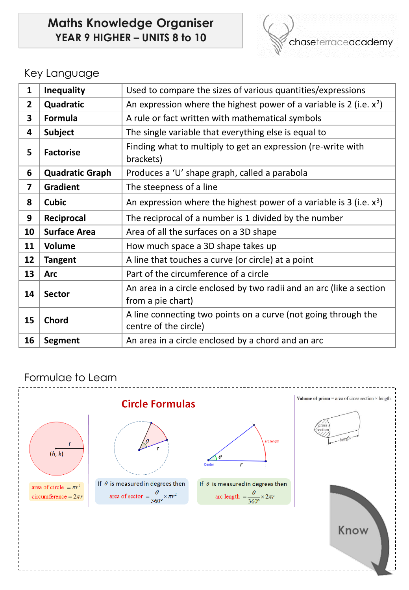# **Maths Knowledge Organiser YEAR 9 HIGHER – UNITS 8 to 10**



## Key Language

| 1              | <b>Inequality</b>      | Used to compare the sizes of various quantities/expressions                               |
|----------------|------------------------|-------------------------------------------------------------------------------------------|
| $\overline{2}$ | Quadratic              | An expression where the highest power of a variable is 2 (i.e. $x^2$ )                    |
| 3              | <b>Formula</b>         | A rule or fact written with mathematical symbols                                          |
| 4              | <b>Subject</b>         | The single variable that everything else is equal to                                      |
| 5              | <b>Factorise</b>       | Finding what to multiply to get an expression (re-write with<br>brackets)                 |
| 6              | <b>Quadratic Graph</b> | Produces a 'U' shape graph, called a parabola                                             |
| 7              | <b>Gradient</b>        | The steepness of a line                                                                   |
| 8              | <b>Cubic</b>           | An expression where the highest power of a variable is 3 (i.e. $x^3$ )                    |
| 9              | Reciprocal             | The reciprocal of a number is 1 divided by the number                                     |
| 10             | <b>Surface Area</b>    | Area of all the surfaces on a 3D shape                                                    |
| 11             | <b>Volume</b>          | How much space a 3D shape takes up                                                        |
| 12             | <b>Tangent</b>         | A line that touches a curve (or circle) at a point                                        |
| 13             | <b>Arc</b>             | Part of the circumference of a circle                                                     |
| 14             | <b>Sector</b>          | An area in a circle enclosed by two radii and an arc (like a section<br>from a pie chart) |
| 15             | <b>Chord</b>           | A line connecting two points on a curve (not going through the<br>centre of the circle)   |
| 16             | <b>Segment</b>         | An area in a circle enclosed by a chord and an arc                                        |

#### Formulae to Learn

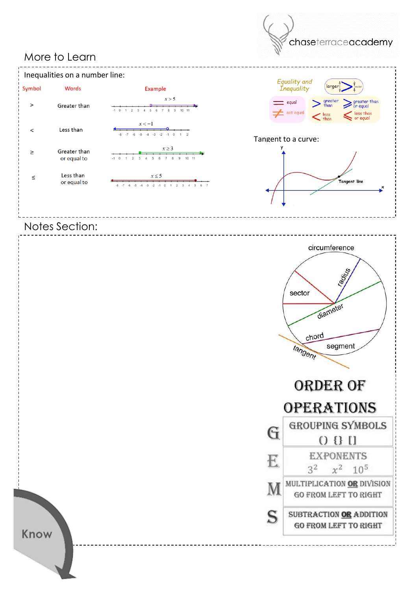## More to Learn



chaseterraceacademy